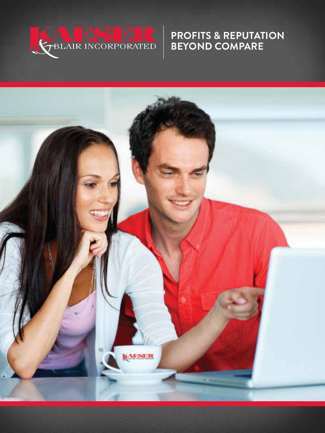

# **PROFITS & REPUTATION BEYOND COMPARE**

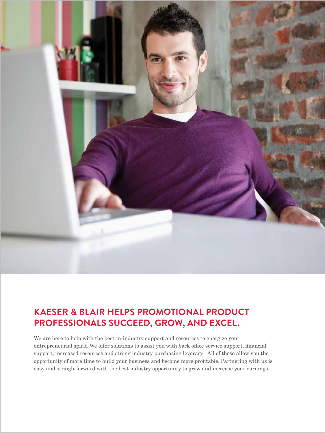

### **KAESER & BLAIR HELPS PROMOTIONAL PRODUCT PROFESSIONALS SUCCEED, GROW, AND EXCEL.**

We are here to help with the best-in-industry support and resources to energize your entrepreneurial spirit. We offer solutions to assist you with back office service support, financial support, increased resources and strong industry purchasing leverage. All of these allow you the opportunity of more time to build your business and become more profitable. Partnering with us is easy and straightforward with the best industry opportunity to grow and increase your earnings.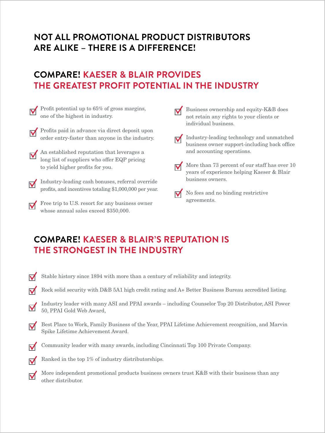# **NOT ALL PROMOTIONAL PRODUCT DISTRIBUTORS ARE ALIKE – THERE IS A DIFFERENCE!**

# **COMPARE! KAESER & BLAIR PROVIDES THE GREATEST PROFIT POTENTIAL IN THE INDUSTRY**

Profit potential up to 65% of gross margins, one of the highest in industry.

- Profits paid in advance via direct deposit upon order entry-faster than anyone in the industry.
- An established reputation that leverages a long list of suppliers who offer EQP pricing to yield higher profits for you.
- Industry-leading cash bonuses, referral override profits, and incentives totaling \$1,000,000 per year.
- Free trip to U.S. resort for any business owner whose annual sales exceed \$350,000.

Business ownership and equity-K&B does not retain any rights to your clients or individual business.

Industry-leading technology and unmatched business owner support-including back office and accounting operations.

More than 73 percent of our staff has over 10 years of experience helping Kaeser & Blair business owners.

No fees and no binding restrictive agreements.

# **COMPARE! KAESER & BLAIR'S REPUTATION IS THE STRONGEST IN THE INDUSTRY**

- Stable history since 1894 with more than a century of reliability and integrity.  $\overline{\textbf{V}}$ 
	- Rock solid security with D&B 5A1 high credit rating and A+ Better Business Bureau accredited listing.
- Industry leader with many ASI and PPAI awards including Counselor Top 20 Distributor, ASI Power  $\overline{\textbf{V}}$ 50, PPAI Gold Web Award,
- Best Place to Work, Family Business of the Year, PPAI Lifetime Achievement recognition, and Marvin  $\overline{\textbf{V}}$ Spike Lifetime Achievement Award.
- Community leader with many awards, including Cincinnati Top 100 Private Company.  $\overline{\textbf{v}}$ 
	- Ranked in the top 1% of industry distributorships.
- More independent promotional products business owners trust K&B with their business than any  $\overline{\textbf{V}}$ other distributor.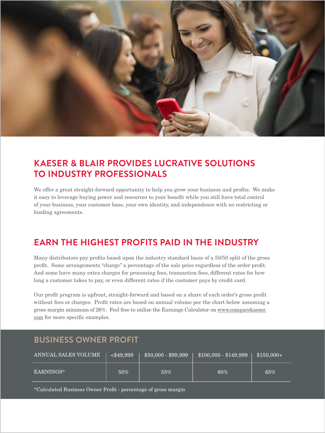

# **KAESER & BLAIR PROVIDES LUCRATIVE SOLUTIONS TO INDUSTRY PROFESSIONALS**

We offer a great straight-forward opportunity to help you grow your business and profits. We make it easy to leverage buying power and resources to your benefit while you still have total control of your business, your customer base, your own identity, and independence with no restricting or binding agreements.

# **EARN THE HIGHEST PROFITS PAID IN THE INDUSTRY**

Many distributors pay profits based upon the industry standard basis of a 50/50 split of the gross profit. Some arrangements "charge" a percentage of the sale price regardless of the order profit. And some have many extra charges for processing fees, transaction fees, different rates for how long a customer takes to pay, or even different rates if the customer pays by credit card.

Our profit program is upfront, straight-forward and based on a share of each order's gross profit without fees or charges. Profit rates are based on annual volume per the chart below assuming a gross margin minimum of 26%. Feel free to utilize the Earnings Calculator on www.comparekaeser. com for more specific examples.

#### **BUSINESS OWNER PROFIT**

| ANNUAL SALES VOLUME | < \$49.999 | $$50,000 - $99,999$ | $\parallel$ \$100,000 - \$149,999 | $$150,000+$ |
|---------------------|------------|---------------------|-----------------------------------|-------------|
| EARNINGS*           | $50\%$     | 55%                 | $60\%$                            | 65%         |

\*Calculated Business Owner Profit - percentage of gross margin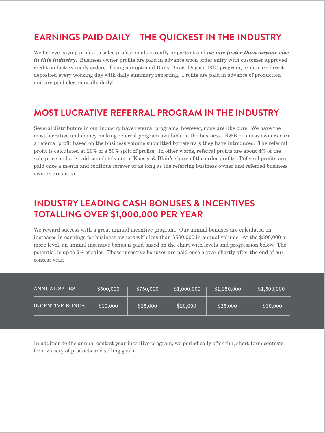# **EARNINGS PAID DAILY – THE QUICKEST IN THE INDUSTRY**

We believe paying profits to sales professionals is really important and *we pay faster than anyone else in this industry*. Business owner profits are paid in advance upon order entry with customer approved credit on factory ready orders. Using our optional Daily Direct Deposit (3D) program, profits are direct deposited every working day with daily summary reporting. Profits are paid in advance of production and are paid electronically daily!

#### **MOST LUCRATIVE REFERRAL PROGRAM IN THE INDUSTRY**

Several distributors in our industry have referral programs, however, none are like ours. We have the most lucrative and money making referral program available in the business. K&B business owners earn a referral profit based on the business volume submitted by referrals they have introduced. The referral profit is calculated at 20% of a 50% split of profits. In other words, referral profits are about 4% of the sale price and are paid completely out of Kaeser & Blair's share of the order profits. Referral profits are paid once a month and continue forever or as long as the referring business owner and referred business owners are active.

# **INDUSTRY LEADING CASH BONUSES & INCENTIVES TOTALLING OVER \$1,000,000 PER YEAR**

We reward success with a great annual incentive program. Our annual bonuses are calculated on increases in earnings for business owners with less than \$500,000 in annual volume. At the \$500,000 or more level, an annual incentive bonus is paid based on the chart with levels and progression below. The potential is up to 2% of sales. These incentive bonuses are paid once a year shortly after the end of our contest year.

| <b>ANNUAL SALES</b> | \$500,000 | \$750,000 | \$1,000,000 | \$1,250,000 | \$1,500,000 |
|---------------------|-----------|-----------|-------------|-------------|-------------|
| INCENTIVE BONUS     | \$10,000  | \$15,000  | \$20,000    | \$25,000    | \$30,000    |

In addition to the annual contest year incentive program, we periodically offer fun, short-term contests for a variety of products and selling goals.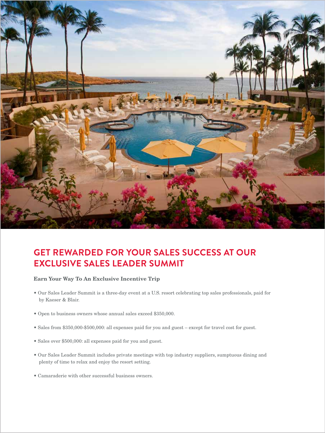

# **GET REWARDED FOR YOUR SALES SUCCESS AT OUR EXCLUSIVE SALES LEADER SUMMIT**

#### Earn Your Way To An Exclusive Incentive Trip

- Our Sales Leader Summit is a three-day event at a U.S. resort celebrating top sales professionals, paid for by Kaeser & Blair.
- Open to business owners whose annual sales exceed \$350,000.
- Sales from \$350,000-\$500,000: all expenses paid for you and guest except for travel cost for guest.
- Sales over \$500,000: all expenses paid for you and guest.
- Our Sales Leader Summit includes private meetings with top industry suppliers, sumptuous dining and plenty of time to relax and enjoy the resort setting.
- Camaraderie with other successful business owners.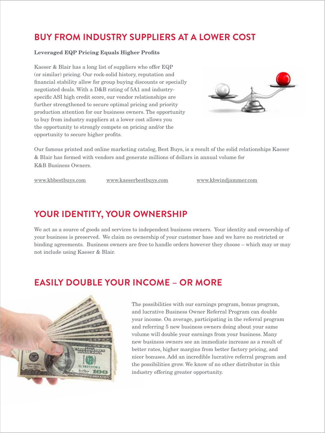# **BUY FROM INDUSTRY SUPPLIERS AT A LOWER COST**

#### Leveraged EQP Pricing Equals Higher Profits

Kaeser & Blair has a long list of suppliers who offer EQP (or similar) pricing. Our rock-solid history, reputation and financial stability allow for group buying discounts or specially negotiated deals. With a D&B rating of 5A1 and industryspecific ASI high credit score, our vendor relationships are further strengthened to secure optimal pricing and priority production attention for our business owners. The opportunity to buy from industry suppliers at a lower cost allows you the opportunity to strongly compete on pricing and/or the opportunity to secure higher profits.



Our famous printed and online marketing catalog, Best Buys, is a result of the solid relationships Kaeser & Blair has formed with vendors and generate millions of dollars in annual volume for K&B Business Owners.

www.kbbestbuys.com www.kaeserbestbuys.com www.kbwindjammer.com

### **YOUR IDENTITY, YOUR OWNERSHIP**

We act as a source of goods and services to independent business owners. Your identity and ownership of your business is preserved. We claim no ownership of your customer base and we have no restricted or binding agreements. Business owners are free to handle orders however they choose – which may or may not include using Kaeser & Blair.

# **EASILY DOUBLE YOUR INCOME – OR MORE**



The possibilities with our earnings program, bonus program, and lucrative Business Owner Referral Program can double your income. On average, participating in the referral program and referring 5 new business owners doing about your same volume will double your earnings from your business. Many new business owners see an immediate increase as a result of better rates, higher margins from better factory pricing, and nicer bonuses. Add an incredible lucrative referral program and the possibilities grow. We know of no other distributor in this industry offering greater opportunity.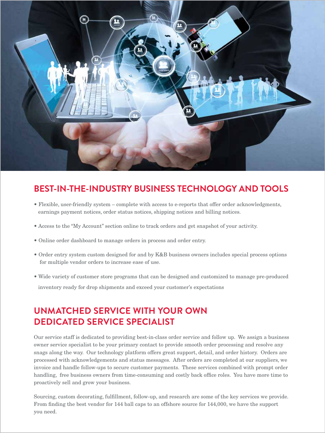

# **BEST-IN-THE-INDUSTRY BUSINESS TECHNOLOGY AND TOOLS**

- Flexible, user-friendly system complete with access to e-reports that offer order acknowledgments, earnings payment notices, order status notices, shipping notices and billing notices.
- Access to the "My Account" section online to track orders and get snapshot of your activity.
- Online order dashboard to manage orders in process and order entry.
- Order entry system custom designed for and by K&B business owners includes special process options for multiple vendor orders to increase ease of use.
- Wide variety of customer store programs that can be designed and customized to manage pre-produced inventory ready for drop shipments and exceed your customer's expectations

# **UNMATCHED SERVICE WITH YOUR OWN DEDICATED SERVICE SPECIALIST**

Our service staff is dedicated to providing best-in-class order service and follow up. We assign a business owner service specialist to be your primary contact to provide smooth order processing and resolve any snags along the way. Our technology platform offers great support, detail, and order history. Orders are processed with acknowledgements and status messages. After orders are completed at our suppliers, we invoice and handle follow-ups to secure customer payments. These services combined with prompt order handling, free business owners from time-consuming and costly back office roles. You have more time to proactively sell and grow your business.

Sourcing, custom decorating, fulfillment, follow-up, and research are some of the key services we provide. From finding the best vendor for 144 ball caps to an offshore source for 144,000, we have the support you need.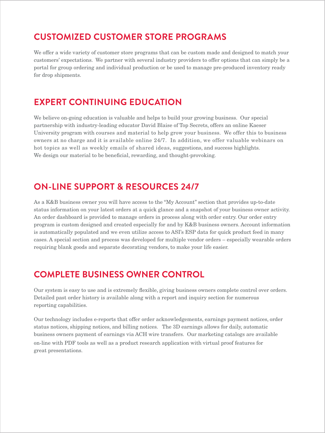# **CUSTOMIZED CUSTOMER STORE PROGRAMS**

We offer a wide variety of customer store programs that can be custom made and designed to match your customers' expectations. We partner with several industry providers to offer options that can simply be a portal for group ordering and individual production or be used to manage pre-produced inventory ready for drop shipments.

# **EXPERT CONTINUING EDUCATION**

We believe on-going education is valuable and helps to build your growing business. Our special partnership with industry-leading educator David Blaise of Top Secrets, offers an online Kaeser University program with courses and material to help grow your business. We offer this to business owners at no charge and it is available online 24/7. In addition, we offer valuable webinars on hot topics as well as weekly emails of shared ideas, suggestions, and success highlights. We design our material to be beneficial, rewarding, and thought-provoking.

# **ON-LINE SUPPORT & RESOURCES 24/7**

As a K&B business owner you will have access to the "My Account" section that provides up-to-date status information on your latest orders at a quick glance and a snapshot of your business owner activity. An order dashboard is provided to manage orders in process along with order entry. Our order entry program is custom designed and created especially for and by K&B business owners. Account information is automatically populated and we even utilize access to ASI's ESP data for quick product feed in many cases. A special section and process was developed for multiple vendor orders – especially wearable orders requiring blank goods and separate decorating vendors, to make your life easier.

# **COMPLETE BUSINESS OWNER CONTROL**

Our system is easy to use and is extremely flexible, giving business owners complete control over orders. Detailed past order history is available along with a report and inquiry section for numerous reporting capabilities.

Our technology includes e-reports that offer order acknowledgements, earnings payment notices, order status notices, shipping notices, and billing notices. The 3D earnings allows for daily, automatic business owners payment of earnings via ACH wire transfers. Our marketing catalogs are available on-line with PDF tools as well as a product research application with virtual proof features for great presentations.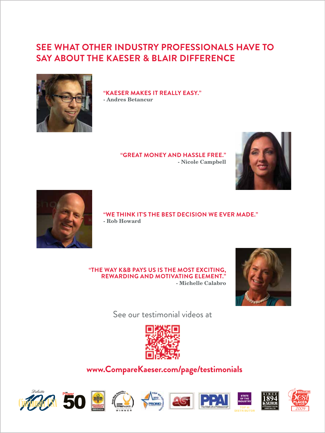# **SEE WHAT OTHER INDUSTRY PROFESSIONALS HAVE TO SAY ABOUT THE KAESER & BLAIR DIFFERENCE**



**"KAESER MAKES IT REALLY EASY."** - Andres Betancur

> **"GREAT MONEY AND HASSLE FREE."** - Nicole Campbell





**"WE THINK IT'S THE BEST DECISION WE EVER MADE."** - Rob Howard

**"THE WAY K&B PAYS US IS THE MOST EXCITING, REWARDING AND MOTIVATING ELEMENT."** - Michelle Calabro



See our testimonial videos at



# **www.CompareKaeser.com/page/testimonials**















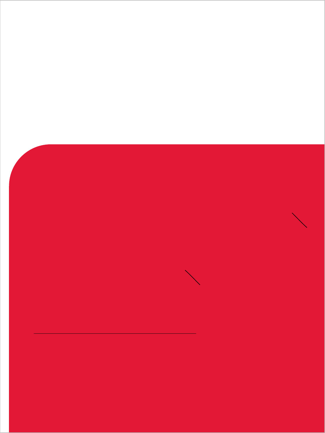